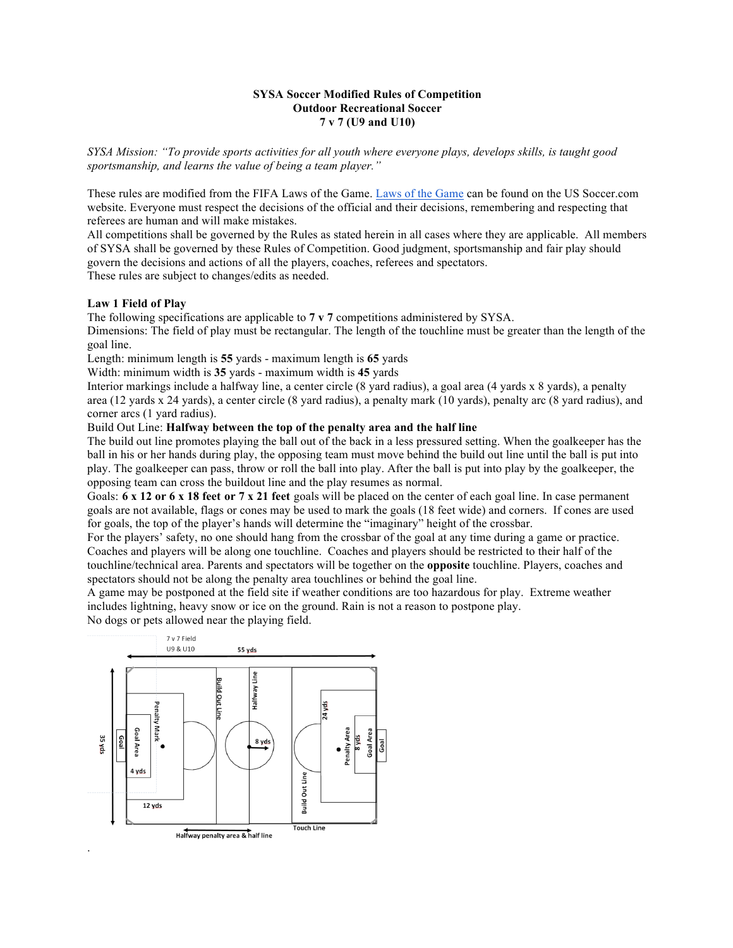## **SYSA Soccer Modified Rules of Competition Outdoor Recreational Soccer 7 v 7 (U9 and U10)**

*SYSA Mission: "To provide sports activities for all youth where everyone plays, develops skills, is taught good sportsmanship, and learns the value of being a team player."*

These rules are modified from the FIFA Laws of the Game. Laws of the Game can be found on the US Soccer.com website. Everyone must respect the decisions of the official and their decisions, remembering and respecting that referees are human and will make mistakes.

All competitions shall be governed by the Rules as stated herein in all cases where they are applicable. All members of SYSA shall be governed by these Rules of Competition. Good judgment, sportsmanship and fair play should govern the decisions and actions of all the players, coaches, referees and spectators.

These rules are subject to changes/edits as needed.

## **Law 1 Field of Play**

The following specifications are applicable to **7 v 7** competitions administered by SYSA. Dimensions: The field of play must be rectangular. The length of the touchline must be greater than the length of the goal line.

Length: minimum length is **55** yards - maximum length is **65** yards

Width: minimum width is **35** yards - maximum width is **45** yards

Interior markings include a halfway line, a center circle (8 yard radius), a goal area (4 yards x 8 yards), a penalty area (12 yards x 24 yards), a center circle (8 yard radius), a penalty mark (10 yards), penalty arc (8 yard radius), and corner arcs (1 yard radius).

Build Out Line: **Halfway between the top of the penalty area and the half line**

The build out line promotes playing the ball out of the back in a less pressured setting. When the goalkeeper has the ball in his or her hands during play, the opposing team must move behind the build out line until the ball is put into play. The goalkeeper can pass, throw or roll the ball into play. After the ball is put into play by the goalkeeper, the opposing team can cross the buildout line and the play resumes as normal.

Goals: **6 x 12 or 6 x 18 feet or 7 x 21 feet** goals will be placed on the center of each goal line. In case permanent goals are not available, flags or cones may be used to mark the goals (18 feet wide) and corners. If cones are used for goals, the top of the player's hands will determine the "imaginary" height of the crossbar.

For the players' safety, no one should hang from the crossbar of the goal at any time during a game or practice. Coaches and players will be along one touchline. Coaches and players should be restricted to their half of the touchline/technical area. Parents and spectators will be together on the **opposite** touchline. Players, coaches and spectators should not be along the penalty area touchlines or behind the goal line.

A game may be postponed at the field site if weather conditions are too hazardous for play. Extreme weather includes lightning, heavy snow or ice on the ground. Rain is not a reason to postpone play.

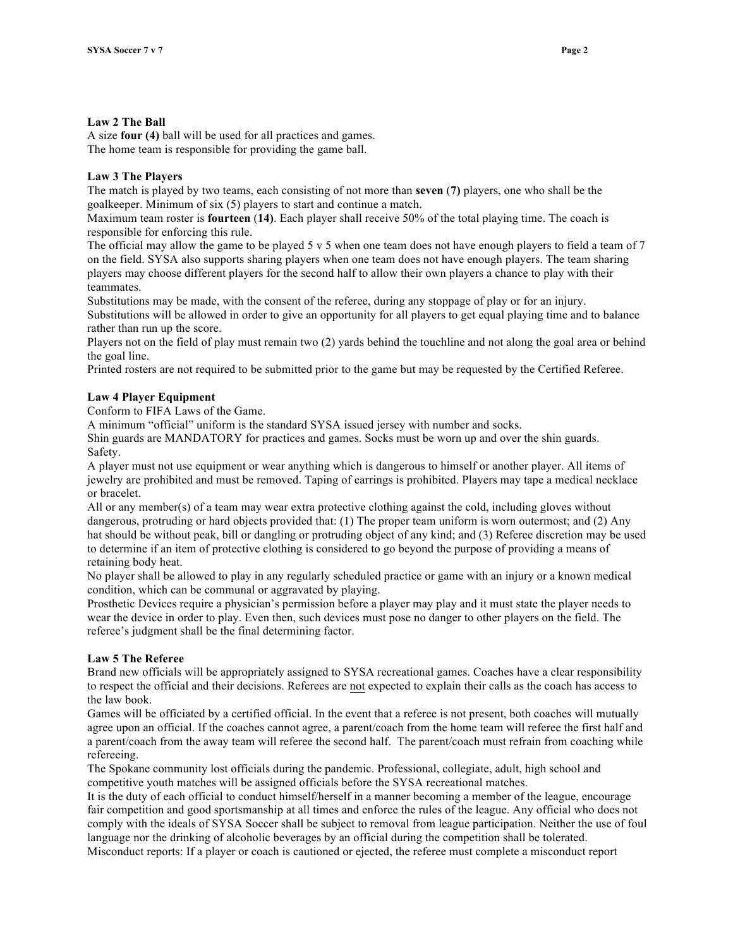# **Law 2 The Ball**

A size **four (4)** ball will be used for all practices and games. The home team is responsible for providing the game ball.

# **Law 3 The Players**

The match is played by two teams, each consisting of not more than **seven** (**7)** players, one who shall be the goalkeeper. Minimum of six (5) players to start and continue a match.

Maximum team roster is **fourteen** (**14)**. Each player shall receive 50% of the total playing time. The coach is responsible for enforcing this rule.

The official may allow the game to be played 5 v 5 when one team does not have enough players to field a team of 7 on the field. SYSA also supports sharing players when one team does not have enough players. The team sharing players may choose different players for the second half to allow their own players a chance to play with their teammates.

Substitutions may be made, with the consent of the referee, during any stoppage of play or for an injury. Substitutions will be allowed in order to give an opportunity for all players to get equal playing time and to balance rather than run up the score.

Players not on the field of play must remain two (2) yards behind the touchline and not along the goal area or behind the goal line.

Printed rosters are not required to be submitted prior to the game but may be requested by the Certified Referee.

# **Law 4 Player Equipment**

Conform to FIFA Laws of the Game.

A minimum "official" uniform is the standard SYSA issued jersey with number and socks.

Shin guards are MANDATORY for practices and games. Socks must be worn up and over the shin guards. Safety.

A player must not use equipment or wear anything which is dangerous to himself or another player. All items of jewelry are prohibited and must be removed. Taping of earrings is prohibited. Players may tape a medical necklace or bracelet.

All or any member(s) of a team may wear extra protective clothing against the cold, including gloves without dangerous, protruding or hard objects provided that: (1) The proper team uniform is worn outermost; and (2) Any hat should be without peak, bill or dangling or protruding object of any kind; and (3) Referee discretion may be used to determine if an item of protective clothing is considered to go beyond the purpose of providing a means of retaining body heat.

No player shall be allowed to play in any regularly scheduled practice or game with an injury or a known medical condition, which can be communal or aggravated by playing.

Prosthetic Devices require a physician's permission before a player may play and it must state the player needs to wear the device in order to play. Even then, such devices must pose no danger to other players on the field. The referee's judgment shall be the final determining factor.

# **Law 5 The Referee**

Brand new officials will be appropriately assigned to SYSA recreational games. Coaches have a clear responsibility to respect the official and their decisions. Referees are not expected to explain their calls as the coach has access to the law book.

Games will be officiated by a certified official. In the event that a referee is not present, both coaches will mutually agree upon an official. If the coaches cannot agree, a parent/coach from the home team will referee the first half and a parent/coach from the away team will referee the second half. The parent/coach must refrain from coaching while refereeing.

The Spokane community lost officials during the pandemic. Professional, collegiate, adult, high school and competitive youth matches will be assigned officials before the SYSA recreational matches.

It is the duty of each official to conduct himself/herself in a manner becoming a member of the league, encourage fair competition and good sportsmanship at all times and enforce the rules of the league. Any official who does not comply with the ideals of SYSA Soccer shall be subject to removal from league participation. Neither the use of foul language nor the drinking of alcoholic beverages by an official during the competition shall be tolerated. Misconduct reports: If a player or coach is cautioned or ejected, the referee must complete a misconduct report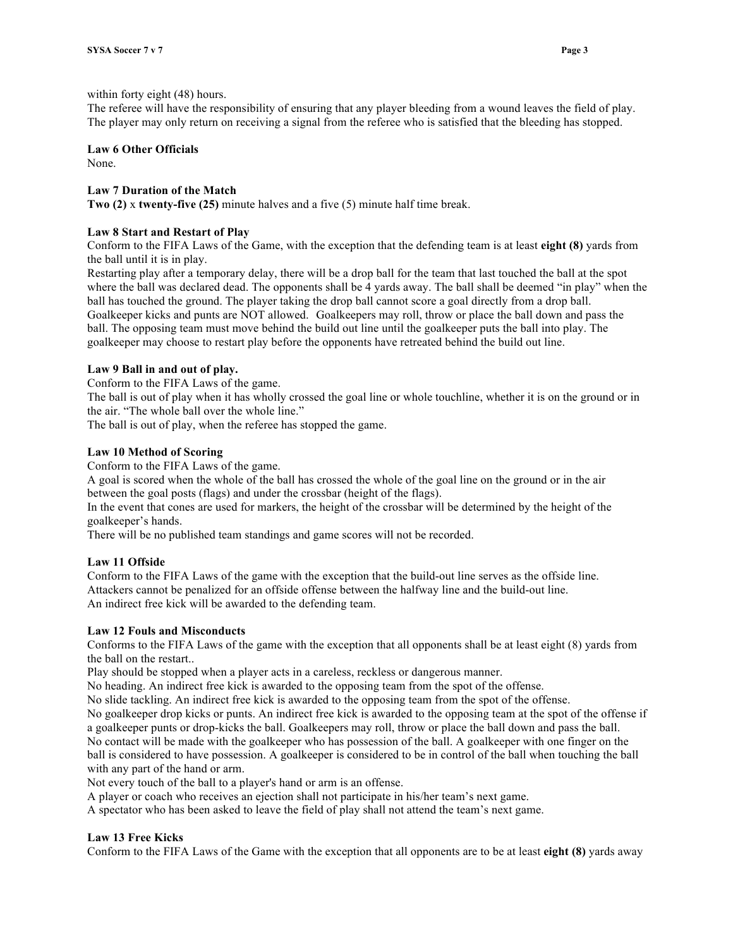#### within forty eight (48) hours.

The referee will have the responsibility of ensuring that any player bleeding from a wound leaves the field of play. The player may only return on receiving a signal from the referee who is satisfied that the bleeding has stopped.

## **Law 6 Other Officials**

None.

## **Law 7 Duration of the Match**

**Two (2)** x **twenty-five (25)** minute halves and a five (5) minute half time break.

#### **Law 8 Start and Restart of Play**

Conform to the FIFA Laws of the Game, with the exception that the defending team is at least **eight (8)** yards from the ball until it is in play.

Restarting play after a temporary delay, there will be a drop ball for the team that last touched the ball at the spot where the ball was declared dead. The opponents shall be 4 yards away. The ball shall be deemed "in play" when the ball has touched the ground. The player taking the drop ball cannot score a goal directly from a drop ball. Goalkeeper kicks and punts are NOT allowed. Goalkeepers may roll, throw or place the ball down and pass the ball. The opposing team must move behind the build out line until the goalkeeper puts the ball into play. The goalkeeper may choose to restart play before the opponents have retreated behind the build out line.

## **Law 9 Ball in and out of play.**

Conform to the FIFA Laws of the game.

The ball is out of play when it has wholly crossed the goal line or whole touchline, whether it is on the ground or in the air. "The whole ball over the whole line."

The ball is out of play, when the referee has stopped the game.

## **Law 10 Method of Scoring**

Conform to the FIFA Laws of the game.

A goal is scored when the whole of the ball has crossed the whole of the goal line on the ground or in the air between the goal posts (flags) and under the crossbar (height of the flags).

In the event that cones are used for markers, the height of the crossbar will be determined by the height of the goalkeeper's hands.

There will be no published team standings and game scores will not be recorded.

#### **Law 11 Offside**

Conform to the FIFA Laws of the game with the exception that the build-out line serves as the offside line. Attackers cannot be penalized for an offside offense between the halfway line and the build-out line. An indirect free kick will be awarded to the defending team.

#### **Law 12 Fouls and Misconducts**

Conforms to the FIFA Laws of the game with the exception that all opponents shall be at least eight (8) yards from the ball on the restart..

Play should be stopped when a player acts in a careless, reckless or dangerous manner.

No heading. An indirect free kick is awarded to the opposing team from the spot of the offense.

No slide tackling. An indirect free kick is awarded to the opposing team from the spot of the offense.

No goalkeeper drop kicks or punts. An indirect free kick is awarded to the opposing team at the spot of the offense if a goalkeeper punts or drop-kicks the ball. Goalkeepers may roll, throw or place the ball down and pass the ball. No contact will be made with the goalkeeper who has possession of the ball. A goalkeeper with one finger on the ball is considered to have possession. A goalkeeper is considered to be in control of the ball when touching the ball with any part of the hand or arm.

Not every touch of the ball to a player's hand or arm is an offense.

A player or coach who receives an ejection shall not participate in his/her team's next game.

A spectator who has been asked to leave the field of play shall not attend the team's next game.

#### **Law 13 Free Kicks**

Conform to the FIFA Laws of the Game with the exception that all opponents are to be at least **eight (8)** yards away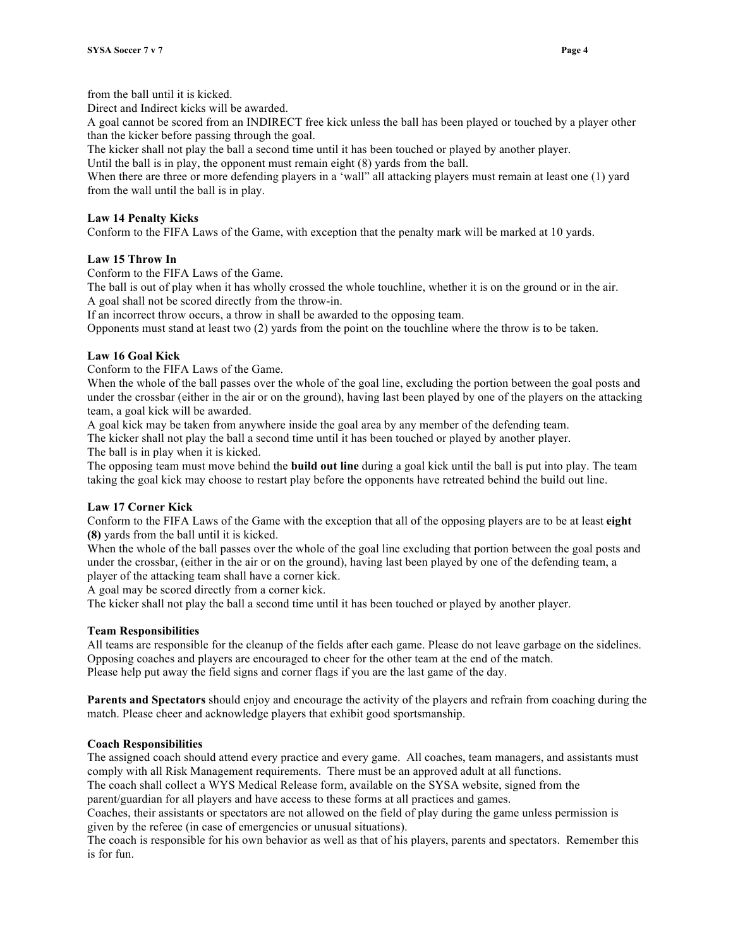from the ball until it is kicked.

Direct and Indirect kicks will be awarded.

A goal cannot be scored from an INDIRECT free kick unless the ball has been played or touched by a player other than the kicker before passing through the goal.

The kicker shall not play the ball a second time until it has been touched or played by another player.

Until the ball is in play, the opponent must remain eight (8) yards from the ball.

When there are three or more defending players in a 'wall'' all attacking players must remain at least one (1) yard from the wall until the ball is in play.

## **Law 14 Penalty Kicks**

Conform to the FIFA Laws of the Game, with exception that the penalty mark will be marked at 10 yards.

## **Law 15 Throw In**

Conform to the FIFA Laws of the Game.

The ball is out of play when it has wholly crossed the whole touchline, whether it is on the ground or in the air. A goal shall not be scored directly from the throw-in.

If an incorrect throw occurs, a throw in shall be awarded to the opposing team.

Opponents must stand at least two (2) yards from the point on the touchline where the throw is to be taken.

## **Law 16 Goal Kick**

Conform to the FIFA Laws of the Game.

When the whole of the ball passes over the whole of the goal line, excluding the portion between the goal posts and under the crossbar (either in the air or on the ground), having last been played by one of the players on the attacking team, a goal kick will be awarded.

A goal kick may be taken from anywhere inside the goal area by any member of the defending team.

The kicker shall not play the ball a second time until it has been touched or played by another player.

The ball is in play when it is kicked.

The opposing team must move behind the **build out line** during a goal kick until the ball is put into play. The team taking the goal kick may choose to restart play before the opponents have retreated behind the build out line.

# **Law 17 Corner Kick**

Conform to the FIFA Laws of the Game with the exception that all of the opposing players are to be at least **eight (8)** yards from the ball until it is kicked.

When the whole of the ball passes over the whole of the goal line excluding that portion between the goal posts and under the crossbar, (either in the air or on the ground), having last been played by one of the defending team, a player of the attacking team shall have a corner kick.

A goal may be scored directly from a corner kick.

The kicker shall not play the ball a second time until it has been touched or played by another player.

#### **Team Responsibilities**

All teams are responsible for the cleanup of the fields after each game. Please do not leave garbage on the sidelines. Opposing coaches and players are encouraged to cheer for the other team at the end of the match. Please help put away the field signs and corner flags if you are the last game of the day.

**Parents and Spectators** should enjoy and encourage the activity of the players and refrain from coaching during the match. Please cheer and acknowledge players that exhibit good sportsmanship.

# **Coach Responsibilities**

The assigned coach should attend every practice and every game. All coaches, team managers, and assistants must comply with all Risk Management requirements. There must be an approved adult at all functions.

The coach shall collect a WYS Medical Release form, available on the SYSA website, signed from the

parent/guardian for all players and have access to these forms at all practices and games.

Coaches, their assistants or spectators are not allowed on the field of play during the game unless permission is given by the referee (in case of emergencies or unusual situations).

The coach is responsible for his own behavior as well as that of his players, parents and spectators. Remember this is for fun.